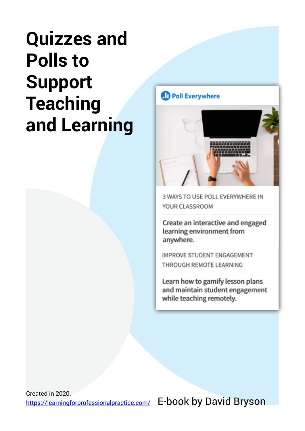## **Quizzes and Polls to Support Teaching and Learning**

### **D** Poll Everywhere



3 WAYS TO USE POLL EVERYWHERE IN YOUR CLASSROOM

Create an interactive and engaged learning environment from anywhere.

**IMPROVE STUDENT ENGAGEMENT** THROUGH REMOTE LEARNING

Learn how to gamify lesson plans and maintain student engagement while teaching remotely.

Created in 2020. <https://learningforprofessionalpractice.com/>

E-book by David Bryson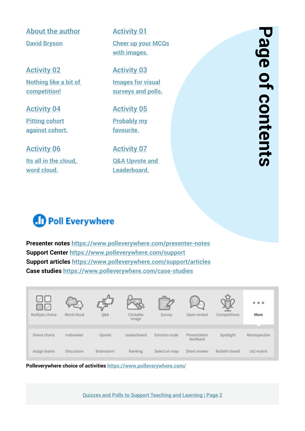**[About the author](#page-2-0) [David Bryson](#page-2-0)**

### **[Activity 02](#page-4-0)**

**[Nothing like a bit of](#page-4-0)  [competition!](#page-4-0)**

### **[Activity 04](#page-6-0)**

**[Pitting cohort](#page-6-0) [against cohort.](#page-6-0)**

#### **[Activity 06](#page-9-0)**

**[Its all in the cloud,](#page-9-0)  [word cloud.](#page-9-0)**

<span id="page-1-0"></span>**[Activity 01](#page-3-0) [Cheer up your MCQs](#page-3-0) [with images.](#page-3-0)**

### **[Activity 03](#page-5-0)**

**[Images for visual](#page-5-0) [surveys and polls.](#page-5-0)**

### **[Activity 05](#page-7-0)**

**[Probably my](#page-7-0) [favourite.](#page-7-0)**

**[Activity 07](#page-10-0) Q&A Upvote and [Leaderboard.](#page-10-0)**

### **D** Poll Everywhere

**Presenter notes <https://www.polleverywhere.com/presenter-notes> Support Center <https://www.polleverywhere.com/support> Support articles <https://www.polleverywhere.com/support/articles> Case studies<https://www.polleverywhere.com/case-studies>**

| √∐<br>ιΜ<br>Multiple choice | Word cloud | Q&A        | Clickable<br>image | Survey        | Open-ended               | Competitions          | 000<br>More   |
|-----------------------------|------------|------------|--------------------|---------------|--------------------------|-----------------------|---------------|
| Donut charts                | Icebreaker | Upvote     | Leaderboard        | Emotion scale | Presentation<br>feedback | Spotlight             | Retrospective |
| Assign teams                | Discussion | Brainstonm | Ranking            | Select on map | Short answer             | <b>Bulletin board</b> | 2x2 matrix    |

**Polleverywhere choice of activities <https://www.polleverywhere.com/>**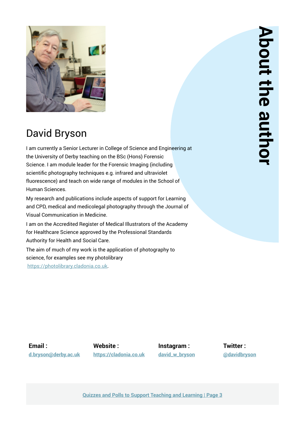<span id="page-2-0"></span>

### David Bryson

I am currently a Senior Lecturer in College of Science and Engineering at the University of Derby teaching on the BSc (Hons) Forensic Science. I am module leader for the Forensic Imaging (including scientific photography techniques e.g. infrared and ultraviolet fluorescence) and teach on wide range of modules in the School of Human Sciences.

My research and publications include aspects of support for Learning and CPD, medical and medicolegal photography through the Journal of Visual Communication in Medicine.

I am on the Accredited Register of Medical Illustrators of the Academy for Healthcare Science approved by the Professional Standards Authority for Health and Social Care.

The aim of much of my work is the application of photography to science, for examples see my photolibrary [https://photolibrary.cladonia.co.uk.](http://photolibrary.cladonia.co.uk)

**Email : d.bryso[n@](mailto:d.bryson%40derby.ac.uk?subject=)derby.ac.uk**

**Website : <https://cladonia.co.uk>**

**Instagram : [david\\_w\\_bryson](https://www.instagram.com/david_w_bryson/)** **Twitter : [@davidbryson](https://twitter.com/davidbryson)**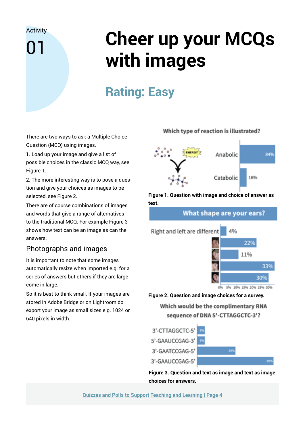<span id="page-3-0"></span>01

# **Cheer up your MCQs with images**

## **Rating: Easy**

There are two ways to ask a Multiple Choice Question (MCQ) using images.

1. Load up your image and give a list of possible choices in the classic MCQ way, see Figure 1.

2. The more interesting way is to pose a question and give your choices as images to be selected, see Figure 2.

There are of course combinations of images and words that give a range of alternatives to the traditional MCQ. For example Figure 3 shows how text can be an image as can the answers.

### Photographs and images

It is important to note that some images automatically resize when imported e.g. for a series of answers but others if they are large come in large.

So it is best to think small. If your images are stored in Adobe Bridge or on Lightroom do export your image as small sizes e.g. 1024 or 640 pixels in width.

#### Which type of reaction is illustrated?



**Figure 1. Question with image and choice of answer as text.** 

What shape are your ears?



#### **Figure 2. Question and image choices for a survey.**

Which would be the complimentary RNA sequence of DNA 5'-CTTAGGCTC-3'?



**Figure 3. Question and text as image and text as image choices for answers.**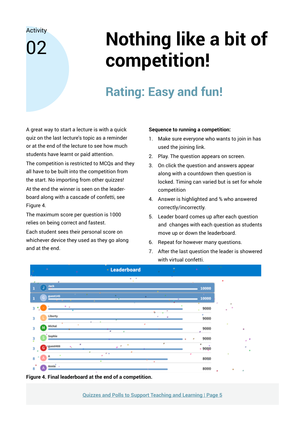<span id="page-4-0"></span>በ2

# **Nothing like a bit of competition!**

## **Rating: Easy and fun!**

A great way to start a lecture is with a quick quiz on the last lecture's topic as a reminder or at the end of the lecture to see how much students have learnt or paid attention.

The competition is restricted to MCQs and they all have to be built into the competition from the start. No importing from other quizzes! At the end the winner is seen on the leader-

board along with a cascade of confetti, see Figure 4.

The maximum score per question is 1000 relies on being correct and fastest.

Each student sees their personal score on whichever device they used as they go along and at the end.

#### **Sequence to running a competition:**

- 1. Make sure everyone who wants to join in has used the joining link.
- 2. Play. The question appears on screen.
- 3. On click the question and answers appear along with a countdown then question is locked. Timing can varied but is set for whole competition
- 4. Answer is highlighted and % who answered correctly/incorrectly.
- 5. Leader board comes up after each question and changes with each question as students move up or down the leaderboard.
- 6. Repeat for however many questions.
- 7. After the last question the leader is showered with virtual confetti.



**Figure 4. Final leaderboard at the end of a competition.**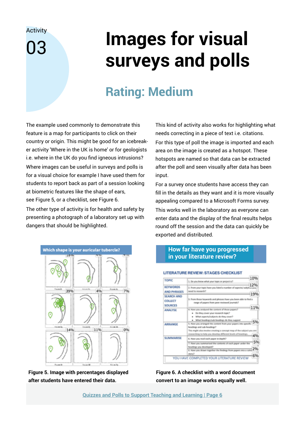# <span id="page-5-0"></span>**Images for visual surveys and polls**

### **Rating: Medium**

The example used commonly to demonstrate this feature is a map for participants to click on their country or origin. This might be good for an icebreaker activity 'Where in the UK is home' or for geologists i.e. where in the UK do you find igneous intrusions? Where images can be useful in surveys and polls is for a visual choice for example I have used them for students to report back as part of a session looking at biometric features like the shape of ears, see Figure 5, or a checklist, see Figure 6.

The other type of activity is for health and safety by presenting a photograph of a laboratory set up with dangers that should be highlighted.



**Figure 5. Image with percentages displayed after students have entered their data.**

This kind of activity also works for highlighting what needs correcting in a piece of text i.e. citations. For this type of poll the image is imported and each area on the image is created as a hotspot. These hotspots are named so that data can be extracted after the poll and seen visually after data has been input.

For a survey once students have access they can fill in the details as they want and it is more visually appealing compared to a Microsoft Forms survey. This works well in the laboratory as everyone can enter data and the display of the final results helps round off the session and the data can quickly be exported and distributed.

#### **How far have you progressed in your literature review?**

| <b>TOPIC</b>              | 1. Do you know what your topic or project is?                                                                    |       |
|---------------------------|------------------------------------------------------------------------------------------------------------------|-------|
|                           |                                                                                                                  |       |
| <b>KEYWORDS</b>           | 2. From your topic have you listed a number of aspects/subjetus-yo                                               |       |
| <b>AND PHRASES</b>        | need to recease b. <sup>3</sup>                                                                                  | 19%   |
| <b>SEARCH AND</b>         |                                                                                                                  |       |
| COLLECT<br><b>SOURCES</b> | 3. From those keywords and phrases have you been able to find a<br>Salarmuci bownivers reag most images to egres |       |
|                           |                                                                                                                  | 11%   |
| <b>ANALYSE</b>            | 4. Have you analysed the content of those papers?<br>. Do they cover your research topic?                        |       |
|                           | . What aspects/subjects do they cover?                                                                           |       |
|                           | What headings/sub-headings do they support                                                                       | 5%    |
| ARRANGE                   | 5. Have you arranged the content from your papers into specifi-<br>headings and sub-headings?                    |       |
|                           | This might also involve creating a concept map of the subject yo                                                 | u ane |
|                           | researching to help you develop different levels of headings.                                                    | 4%    |
| SUMMARISE                 | 6. Have you read each paper in depth?                                                                            |       |
|                           | 7. Have you summarised the contents of each paper under the                                                      | 59    |
|                           | headings you developed?                                                                                          | 2%    |
|                           | 8. Have you drawn together the findings from papers into a cohe                                                  |       |
|                           | story?                                                                                                           | 6%    |

**LITERATURE REVIEW: STAGES CHECKLIST** 

**Figure 6. A checklist with a word document convert to an image works equally well.**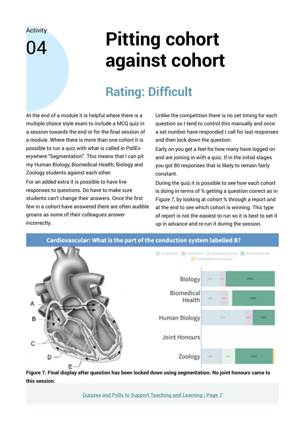<span id="page-6-0"></span>04

# **Pitting cohort against cohort**

## **Rating: Difficult**

At the end of a module it is helpful where there is a multiple choice style exam to include a MCQ quiz in a session towards the end or for the final session of a module. Where there is more than one cohort it is possible to run a quiz with what is called in PollEverywhere "Segmentation". This means that I can pit my Human Biology, Biomedical Health, Biology and Zoology students against each other.

For an added extra it is possible to have live responses to questions. Do have to make sure students can't change their answers. Once the first few in a cohort have answered there are often audible groans as some of their colleagues answer incorrectly.

Unlike the competition there is no set timing for each question so I tend to control this manually and once a set number have responded I call for last responses and then lock down the question.

Early on you get a feel for how many have logged on and are joining in with a quiz. If in the initial stages you got 80 responses that is likely to remain fairly constant.

During the quiz it is possible to see how each cohort is doing in terms of % getting a question correct as in Figure 7, by looking at cohort % through a report and at the end to see which cohort is winning. This type of report is not the easiest to run so it is best to set it up in advance and re-run it during the session.



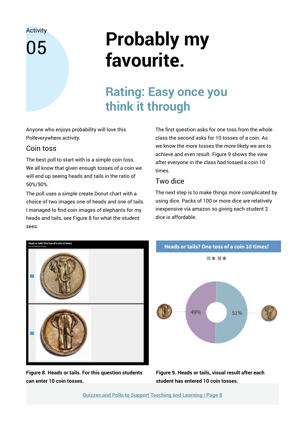<span id="page-7-0"></span>05

# **Probably my favourite.**

### **Rating: Easy once you think it through**

Anyone who enjoys probability will love this Polleverywhere activity.

### Coin toss

The best poll to start with is a simple coin toss. We all know that given enough tosses of a coin we will end up seeing heads and tails in the ratio of 50%/50%.

The poll uses a simple create Donut chart with a choice of two images one of heads and one of tails. I managed to find coin images of elephants for my heads and tails, see Figure 8 for what the student sees.

The first question asks for one toss from the whole class the second asks for 10 tosses of a coin. As we know the more tosses the more likely we are to achieve and even result. Figure 9 shows the view after everyone in the class had tossed a coin 10 times.

#### Two dice

The next step is to make things more complicated by using dice. Packs of 100 or more dice are relatively inexpensive via amazon so giving each student 2 dice is affordable.



**Figure 8. Heads or tails. For this question students can enter 10 coin tosses.**



**Figure 9. Heads or tails, visual result after each student has entered 10 coin tosses.**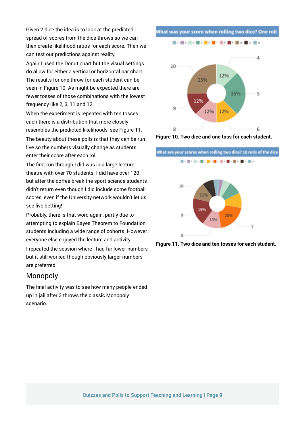Given 2 dice the idea is to look at the predicted spread of scores from the dice throws so we can then create likelihood ratios for each score. Then we can test our predictions against reality.

Again I used the Donut chart but the visual settings do allow for either a vertical or horizontal bar chart. The results for one throw for each student can be seen in Figure 10. As might be expected there are fewer tosses of those combinations with the lowest frequency like 2, 3, 11 and 12.

When the experiment is repeated with ten tosses each there is a distribution that more closely resembles the predicted likelihoods, see Figure 11.

The beauty about these polls is that they can be run live so the numbers visually change as students enter their score after each roll.

The first run through I did was in a large lecture theatre with over 70 students. I did have over 120 but after the coffee break the sport science students didn't return even though I did include some football scores, even if the University network wouldn't let us see live betting!

Probably, there is that word again, partly due to attempting to explain Bayes Theorem to Foundation students including a wide range of cohorts. However, everyone else enjoyed the lecture and activity.

I repeated the session where I had far lower numbers but it still worked though obviously larger numbers are preferred.

#### Monopoly

The final activity was to see how many people ended up in jail after 3 throws the classic Monopoly scenario.

What was your score when rolling two dice? One roll

■大学大学大学大学大学大学大学大学大学大学大



**Figure 10. Two dice and one toss for each student.**

What are your scores when rolling two dice? 10 rolls of the dice ■大学大学大学大学大学大学大学大学大学大学 10 110 1996 Ö 20% 13%

**Figure 11. Two dice and ten tosses for each student.**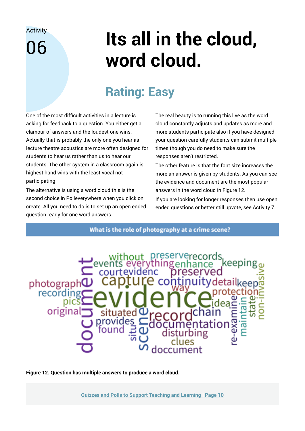## <span id="page-9-0"></span>06

# **Its all in the cloud, word cloud.**

## **Rating: Easy**

One of the most difficult activities in a lecture is asking for feedback to a question. You either get a clamour of answers and the loudest one wins. Actually that is probably the only one you hear as lecture theatre acoustics are more often designed for students to hear us rather than us to hear our students. The other system in a classroom again is highest hand wins with the least vocal not participating.

The alternative is using a word cloud this is the second choice in Polleverywhere when you click on create. All you need to do is to set up an open ended question ready for one word answers.

The real beauty is to running this live as the word cloud constantly adjusts and updates as more and more students participate also if you have designed your question carefully students can submit multiple times though you do need to make sure the responses aren't restricted.

The other feature is that the font size increases the more an answer is given by students. As you can see the evidence and document are the most popular answers in the word cloud in Figure 12.

If you are looking for longer responses then use open ended questions or better still upvote, see Activity 7.

What is the role of photography at a crime scene?



**Figure 12. Question has multiple answers to produce a word cloud.**